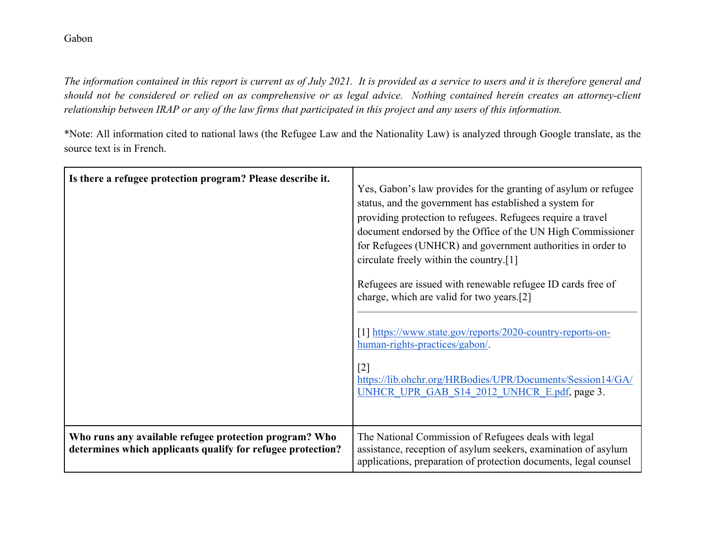*The information contained in this report is current as of July 2021. It is provided as a service to users and it is therefore general and should not be considered or relied on as comprehensive or as legal advice. Nothing contained herein creates an attorney-client relationship between IRAP or any of the law firms that participated in this project and any users of this information.* 

\*Note: All information cited to national laws (the Refugee Law and the Nationality Law) is analyzed through Google translate, as the source text is in French.

| Is there a refugee protection program? Please describe it.                                                            | Yes, Gabon's law provides for the granting of asylum or refugee<br>status, and the government has established a system for<br>providing protection to refugees. Refugees require a travel<br>document endorsed by the Office of the UN High Commissioner<br>for Refugees (UNHCR) and government authorities in order to<br>circulate freely within the country.[1]<br>Refugees are issued with renewable refugee ID cards free of<br>charge, which are valid for two years.[2]<br>[1] https://www.state.gov/reports/2020-country-reports-on-<br>human-rights-practices/gabon/.<br>$\lceil 2 \rceil$<br>https://lib.ohchr.org/HRBodies/UPR/Documents/Session14/GA/<br>UNHCR UPR GAB S14 2012 UNHCR E.pdf, page 3. |
|-----------------------------------------------------------------------------------------------------------------------|------------------------------------------------------------------------------------------------------------------------------------------------------------------------------------------------------------------------------------------------------------------------------------------------------------------------------------------------------------------------------------------------------------------------------------------------------------------------------------------------------------------------------------------------------------------------------------------------------------------------------------------------------------------------------------------------------------------|
| Who runs any available refugee protection program? Who<br>determines which applicants qualify for refugee protection? | The National Commission of Refugees deals with legal<br>assistance, reception of asylum seekers, examination of asylum<br>applications, preparation of protection documents, legal counsel                                                                                                                                                                                                                                                                                                                                                                                                                                                                                                                       |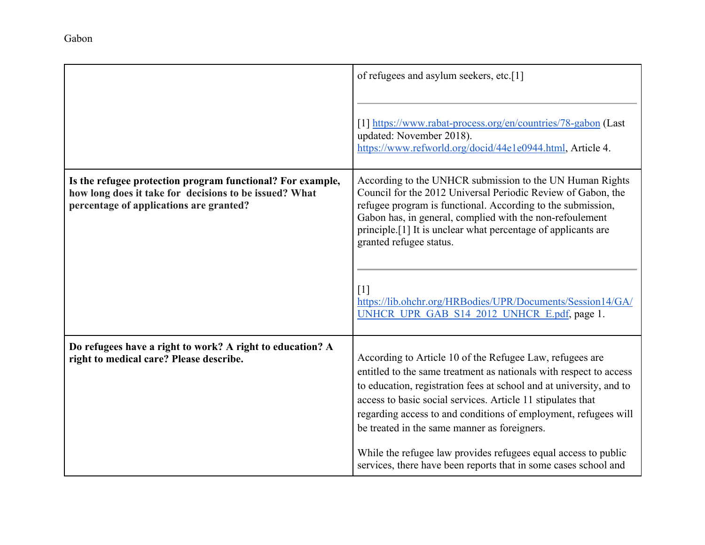|                                                                                                                                                                 | of refugees and asylum seekers, etc.[1]                                                                                                                                                                                                                                                                                                                                                                                                                   |
|-----------------------------------------------------------------------------------------------------------------------------------------------------------------|-----------------------------------------------------------------------------------------------------------------------------------------------------------------------------------------------------------------------------------------------------------------------------------------------------------------------------------------------------------------------------------------------------------------------------------------------------------|
|                                                                                                                                                                 | [1] https://www.rabat-process.org/en/countries/78-gabon (Last<br>updated: November 2018).<br>https://www.refworld.org/docid/44e1e0944.html, Article 4.                                                                                                                                                                                                                                                                                                    |
| Is the refugee protection program functional? For example,<br>how long does it take for decisions to be issued? What<br>percentage of applications are granted? | According to the UNHCR submission to the UN Human Rights<br>Council for the 2012 Universal Periodic Review of Gabon, the<br>refugee program is functional. According to the submission,<br>Gabon has, in general, complied with the non-refoulement<br>principle. <sup>[1]</sup> It is unclear what percentage of applicants are<br>granted refugee status.                                                                                               |
|                                                                                                                                                                 | $\lceil 1 \rceil$<br>https://lib.ohchr.org/HRBodies/UPR/Documents/Session14/GA/<br>UNHCR UPR GAB S14 2012 UNHCR E.pdf, page 1.                                                                                                                                                                                                                                                                                                                            |
| Do refugees have a right to work? A right to education? A<br>right to medical care? Please describe.                                                            | According to Article 10 of the Refugee Law, refugees are<br>entitled to the same treatment as nationals with respect to access<br>to education, registration fees at school and at university, and to<br>access to basic social services. Article 11 stipulates that<br>regarding access to and conditions of employment, refugees will<br>be treated in the same manner as foreigners.<br>While the refugee law provides refugees equal access to public |
|                                                                                                                                                                 | services, there have been reports that in some cases school and                                                                                                                                                                                                                                                                                                                                                                                           |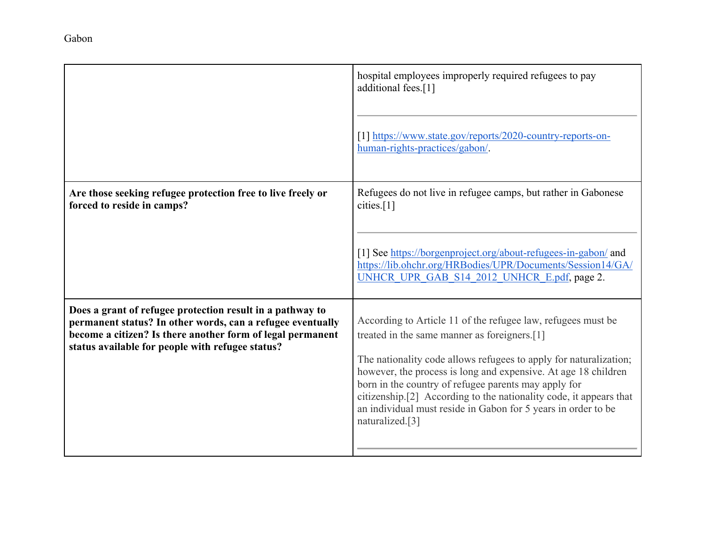|                                                                                                                                                                                                                                           | hospital employees improperly required refugees to pay<br>additional fees.[1]<br>[1] https://www.state.gov/reports/2020-country-reports-on-<br>human-rights-practices/gabon/.                                                                                                                                                                                                                                                                                         |
|-------------------------------------------------------------------------------------------------------------------------------------------------------------------------------------------------------------------------------------------|-----------------------------------------------------------------------------------------------------------------------------------------------------------------------------------------------------------------------------------------------------------------------------------------------------------------------------------------------------------------------------------------------------------------------------------------------------------------------|
| Are those seeking refugee protection free to live freely or<br>forced to reside in camps?                                                                                                                                                 | Refugees do not live in refugee camps, but rather in Gabonese<br>cities. <sup>[1]</sup><br>[1] See https://borgenproject.org/about-refugees-in-gabon/ and<br>https://lib.ohchr.org/HRBodies/UPR/Documents/Session14/GA/<br>UNHCR UPR GAB S14 2012 UNHCR E.pdf, page 2.                                                                                                                                                                                                |
| Does a grant of refugee protection result in a pathway to<br>permanent status? In other words, can a refugee eventually<br>become a citizen? Is there another form of legal permanent<br>status available for people with refugee status? | According to Article 11 of the refugee law, refugees must be<br>treated in the same manner as foreigners.[1]<br>The nationality code allows refugees to apply for naturalization;<br>however, the process is long and expensive. At age 18 children<br>born in the country of refugee parents may apply for<br>citizenship.[2] According to the nationality code, it appears that<br>an individual must reside in Gabon for 5 years in order to be<br>naturalized.[3] |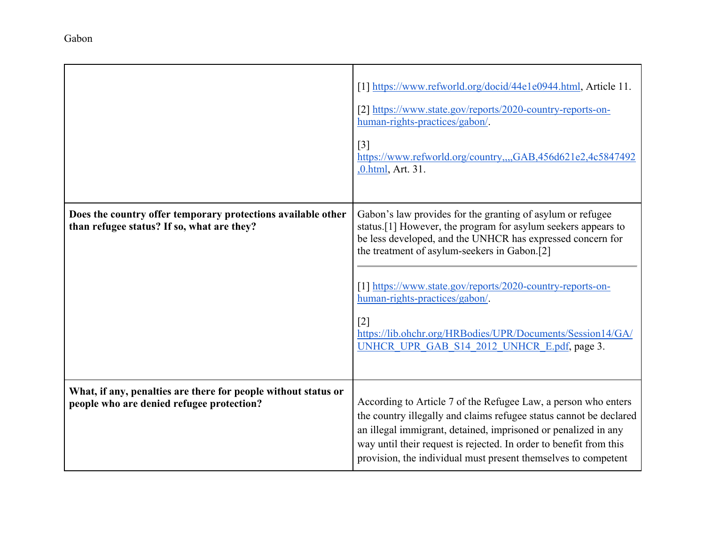|                                                                                                             | [1] https://www.refworld.org/docid/44e1e0944.html, Article 11.<br>[2] https://www.state.gov/reports/2020-country-reports-on-<br>human-rights-practices/gabon/.<br>$\lceil 3 \rceil$<br>https://www.refworld.org/country,,,,GAB,456d621e2,4c5847492<br>,0.html, Art. 31.                                                                                                                                                                                         |
|-------------------------------------------------------------------------------------------------------------|-----------------------------------------------------------------------------------------------------------------------------------------------------------------------------------------------------------------------------------------------------------------------------------------------------------------------------------------------------------------------------------------------------------------------------------------------------------------|
| Does the country offer temporary protections available other<br>than refugee status? If so, what are they?  | Gabon's law provides for the granting of asylum or refugee<br>status.[1] However, the program for asylum seekers appears to<br>be less developed, and the UNHCR has expressed concern for<br>the treatment of asylum-seekers in Gabon.[2]<br>[1] https://www.state.gov/reports/2020-country-reports-on-<br>human-rights-practices/gabon/.<br>$[2]$<br>https://lib.ohchr.org/HRBodies/UPR/Documents/Session14/GA/<br>UNHCR UPR GAB S14 2012 UNHCR E.pdf, page 3. |
| What, if any, penalties are there for people without status or<br>people who are denied refugee protection? | According to Article 7 of the Refugee Law, a person who enters<br>the country illegally and claims refugee status cannot be declared<br>an illegal immigrant, detained, imprisoned or penalized in any<br>way until their request is rejected. In order to benefit from this<br>provision, the individual must present themselves to competent                                                                                                                  |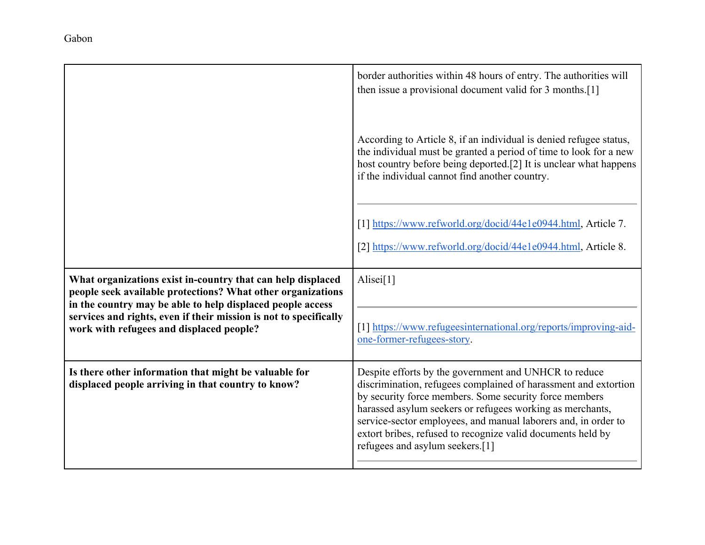|                                                                                                                                                                             | border authorities within 48 hours of entry. The authorities will<br>then issue a provisional document valid for 3 months.[1]                                                                                                                                                                                                                                                                                       |
|-----------------------------------------------------------------------------------------------------------------------------------------------------------------------------|---------------------------------------------------------------------------------------------------------------------------------------------------------------------------------------------------------------------------------------------------------------------------------------------------------------------------------------------------------------------------------------------------------------------|
|                                                                                                                                                                             | According to Article 8, if an individual is denied refugee status,<br>the individual must be granted a period of time to look for a new<br>host country before being deported.[2] It is unclear what happens<br>if the individual cannot find another country.                                                                                                                                                      |
|                                                                                                                                                                             | [1] https://www.refworld.org/docid/44e1e0944.html, Article 7.<br>[2] https://www.refworld.org/docid/44e1e0944.html, Article 8.                                                                                                                                                                                                                                                                                      |
| What organizations exist in-country that can help displaced<br>people seek available protections? What other organizations                                                  | Alisei $[1]$                                                                                                                                                                                                                                                                                                                                                                                                        |
| in the country may be able to help displaced people access<br>services and rights, even if their mission is not to specifically<br>work with refugees and displaced people? | [1] https://www.refugeesinternational.org/reports/improving-aid-<br>one-former-refugees-story.                                                                                                                                                                                                                                                                                                                      |
| Is there other information that might be valuable for<br>displaced people arriving in that country to know?                                                                 | Despite efforts by the government and UNHCR to reduce<br>discrimination, refugees complained of harassment and extortion<br>by security force members. Some security force members<br>harassed asylum seekers or refugees working as merchants,<br>service-sector employees, and manual laborers and, in order to<br>extort bribes, refused to recognize valid documents held by<br>refugees and asylum seekers.[1] |